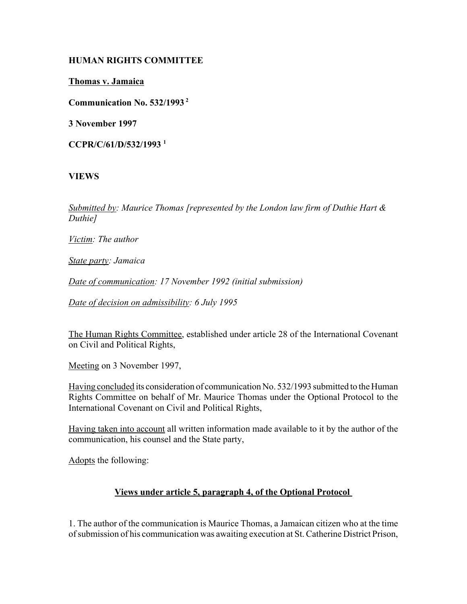## **HUMAN RIGHTS COMMITTEE**

**Thomas v. Jamaica**

**Communication No. 532/1993 2**

**3 November 1997**

**CCPR/C/61/D/532/1993 1**

# **VIEWS**

*Submitted by: Maurice Thomas [represented by the London law firm of Duthie Hart & Duthie]*

*Victim: The author* 

*State party: Jamaica* 

*Date of communication: 17 November 1992 (initial submission)* 

*Date of decision on admissibility: 6 July 1995* 

The Human Rights Committee, established under article 28 of the International Covenant on Civil and Political Rights,

Meeting on 3 November 1997,

Having concluded its consideration of communication No. 532/1993 submitted to the Human Rights Committee on behalf of Mr. Maurice Thomas under the Optional Protocol to the International Covenant on Civil and Political Rights,

Having taken into account all written information made available to it by the author of the communication, his counsel and the State party,

Adopts the following:

# **Views under article 5, paragraph 4, of the Optional Protocol**

1. The author of the communication is Maurice Thomas, a Jamaican citizen who at the time of submission of his communication was awaiting execution at St. Catherine District Prison,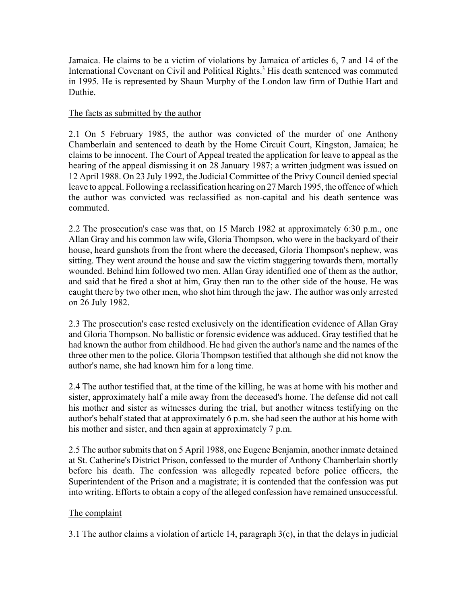Jamaica. He claims to be a victim of violations by Jamaica of articles 6, 7 and 14 of the International Covenant on Civil and Political Rights.<sup>3</sup> His death sentenced was commuted in 1995. He is represented by Shaun Murphy of the London law firm of Duthie Hart and Duthie.

### The facts as submitted by the author

2.1 On 5 February 1985, the author was convicted of the murder of one Anthony Chamberlain and sentenced to death by the Home Circuit Court, Kingston, Jamaica; he claims to be innocent. The Court of Appeal treated the application for leave to appeal as the hearing of the appeal dismissing it on 28 January 1987; a written judgment was issued on 12 April 1988. On 23 July 1992, the Judicial Committee of the Privy Council denied special leave to appeal. Following a reclassification hearing on 27 March 1995, the offence of which the author was convicted was reclassified as non-capital and his death sentence was commuted.

2.2 The prosecution's case was that, on 15 March 1982 at approximately 6:30 p.m., one Allan Gray and his common law wife, Gloria Thompson, who were in the backyard of their house, heard gunshots from the front where the deceased, Gloria Thompson's nephew, was sitting. They went around the house and saw the victim staggering towards them, mortally wounded. Behind him followed two men. Allan Gray identified one of them as the author, and said that he fired a shot at him, Gray then ran to the other side of the house. He was caught there by two other men, who shot him through the jaw. The author was only arrested on 26 July 1982.

2.3 The prosecution's case rested exclusively on the identification evidence of Allan Gray and Gloria Thompson. No ballistic or forensic evidence was adduced. Gray testified that he had known the author from childhood. He had given the author's name and the names of the three other men to the police. Gloria Thompson testified that although she did not know the author's name, she had known him for a long time.

2.4 The author testified that, at the time of the killing, he was at home with his mother and sister, approximately half a mile away from the deceased's home. The defense did not call his mother and sister as witnesses during the trial, but another witness testifying on the author's behalf stated that at approximately 6 p.m. she had seen the author at his home with his mother and sister, and then again at approximately 7 p.m.

2.5 The author submits that on 5 April 1988, one Eugene Benjamin, another inmate detained at St. Catherine's District Prison, confessed to the murder of Anthony Chamberlain shortly before his death. The confession was allegedly repeated before police officers, the Superintendent of the Prison and a magistrate; it is contended that the confession was put into writing. Efforts to obtain a copy of the alleged confession have remained unsuccessful.

## The complaint

3.1 The author claims a violation of article 14, paragraph 3(c), in that the delays in judicial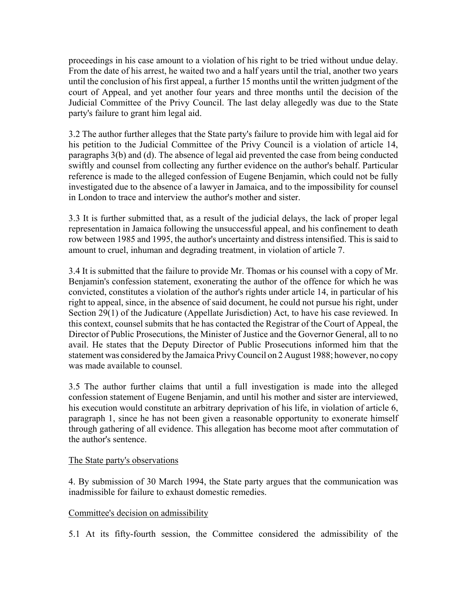proceedings in his case amount to a violation of his right to be tried without undue delay. From the date of his arrest, he waited two and a half years until the trial, another two years until the conclusion of his first appeal, a further 15 months until the written judgment of the court of Appeal, and yet another four years and three months until the decision of the Judicial Committee of the Privy Council. The last delay allegedly was due to the State party's failure to grant him legal aid.

3.2 The author further alleges that the State party's failure to provide him with legal aid for his petition to the Judicial Committee of the Privy Council is a violation of article 14, paragraphs 3(b) and (d). The absence of legal aid prevented the case from being conducted swiftly and counsel from collecting any further evidence on the author's behalf. Particular reference is made to the alleged confession of Eugene Benjamin, which could not be fully investigated due to the absence of a lawyer in Jamaica, and to the impossibility for counsel in London to trace and interview the author's mother and sister.

3.3 It is further submitted that, as a result of the judicial delays, the lack of proper legal representation in Jamaica following the unsuccessful appeal, and his confinement to death row between 1985 and 1995, the author's uncertainty and distress intensified. This is said to amount to cruel, inhuman and degrading treatment, in violation of article 7.

3.4 It is submitted that the failure to provide Mr. Thomas or his counsel with a copy of Mr. Benjamin's confession statement, exonerating the author of the offence for which he was convicted, constitutes a violation of the author's rights under article 14, in particular of his right to appeal, since, in the absence of said document, he could not pursue his right, under Section 29(1) of the Judicature (Appellate Jurisdiction) Act, to have his case reviewed. In this context, counsel submits that he has contacted the Registrar of the Court of Appeal, the Director of Public Prosecutions, the Minister of Justice and the Governor General, all to no avail. He states that the Deputy Director of Public Prosecutions informed him that the statement was considered by the Jamaica Privy Council on 2 August 1988; however, no copy was made available to counsel.

3.5 The author further claims that until a full investigation is made into the alleged confession statement of Eugene Benjamin, and until his mother and sister are interviewed, his execution would constitute an arbitrary deprivation of his life, in violation of article 6, paragraph 1, since he has not been given a reasonable opportunity to exonerate himself through gathering of all evidence. This allegation has become moot after commutation of the author's sentence.

#### The State party's observations

4. By submission of 30 March 1994, the State party argues that the communication was inadmissible for failure to exhaust domestic remedies.

## Committee's decision on admissibility

5.1 At its fifty-fourth session, the Committee considered the admissibility of the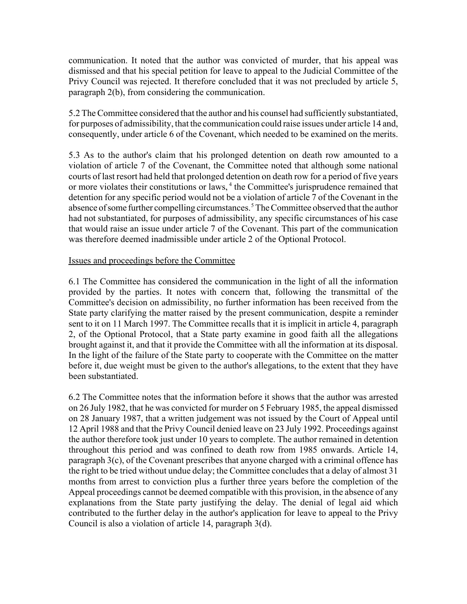communication. It noted that the author was convicted of murder, that his appeal was dismissed and that his special petition for leave to appeal to the Judicial Committee of the Privy Council was rejected. It therefore concluded that it was not precluded by article 5, paragraph 2(b), from considering the communication.

5.2 The Committee considered that the author and his counsel had sufficiently substantiated, for purposes of admissibility, that the communication could raise issues under article 14 and, consequently, under article 6 of the Covenant, which needed to be examined on the merits.

5.3 As to the author's claim that his prolonged detention on death row amounted to a violation of article 7 of the Covenant, the Committee noted that although some national courts of last resort had held that prolonged detention on death row for a period of five years or more violates their constitutions or laws,<sup>4</sup> the Committee's jurisprudence remained that detention for any specific period would not be a violation of article 7 of the Covenant in the absence of some further compelling circumstances. 5 The Committee observed that the author had not substantiated, for purposes of admissibility, any specific circumstances of his case that would raise an issue under article 7 of the Covenant. This part of the communication was therefore deemed inadmissible under article 2 of the Optional Protocol.

### Issues and proceedings before the Committee

6.1 The Committee has considered the communication in the light of all the information provided by the parties. It notes with concern that, following the transmittal of the Committee's decision on admissibility, no further information has been received from the State party clarifying the matter raised by the present communication, despite a reminder sent to it on 11 March 1997. The Committee recalls that it is implicit in article 4, paragraph 2, of the Optional Protocol, that a State party examine in good faith all the allegations brought against it, and that it provide the Committee with all the information at its disposal. In the light of the failure of the State party to cooperate with the Committee on the matter before it, due weight must be given to the author's allegations, to the extent that they have been substantiated.

6.2 The Committee notes that the information before it shows that the author was arrested on 26 July 1982, that he was convicted for murder on 5 February 1985, the appeal dismissed on 28 January 1987, that a written judgement was not issued by the Court of Appeal until 12 April 1988 and that the Privy Council denied leave on 23 July 1992. Proceedings against the author therefore took just under 10 years to complete. The author remained in detention throughout this period and was confined to death row from 1985 onwards. Article 14, paragraph 3(c), of the Covenant prescribes that anyone charged with a criminal offence has the right to be tried without undue delay; the Committee concludes that a delay of almost 31 months from arrest to conviction plus a further three years before the completion of the Appeal proceedings cannot be deemed compatible with this provision, in the absence of any explanations from the State party justifying the delay. The denial of legal aid which contributed to the further delay in the author's application for leave to appeal to the Privy Council is also a violation of article 14, paragraph 3(d).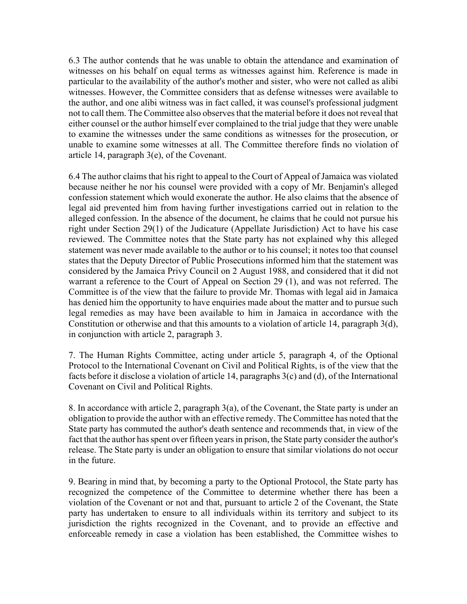6.3 The author contends that he was unable to obtain the attendance and examination of witnesses on his behalf on equal terms as witnesses against him. Reference is made in particular to the availability of the author's mother and sister, who were not called as alibi witnesses. However, the Committee considers that as defense witnesses were available to the author, and one alibi witness was in fact called, it was counsel's professional judgment not to call them. The Committee also observes that the material before it does not reveal that either counsel or the author himself ever complained to the trial judge that they were unable to examine the witnesses under the same conditions as witnesses for the prosecution, or unable to examine some witnesses at all. The Committee therefore finds no violation of article 14, paragraph 3(e), of the Covenant.

6.4 The author claims that his right to appeal to the Court of Appeal of Jamaica was violated because neither he nor his counsel were provided with a copy of Mr. Benjamin's alleged confession statement which would exonerate the author. He also claims that the absence of legal aid prevented him from having further investigations carried out in relation to the alleged confession. In the absence of the document, he claims that he could not pursue his right under Section 29(1) of the Judicature (Appellate Jurisdiction) Act to have his case reviewed. The Committee notes that the State party has not explained why this alleged statement was never made available to the author or to his counsel; it notes too that counsel states that the Deputy Director of Public Prosecutions informed him that the statement was considered by the Jamaica Privy Council on 2 August 1988, and considered that it did not warrant a reference to the Court of Appeal on Section 29 (1), and was not referred. The Committee is of the view that the failure to provide Mr. Thomas with legal aid in Jamaica has denied him the opportunity to have enquiries made about the matter and to pursue such legal remedies as may have been available to him in Jamaica in accordance with the Constitution or otherwise and that this amounts to a violation of article 14, paragraph 3(d), in conjunction with article 2, paragraph 3.

7. The Human Rights Committee, acting under article 5, paragraph 4, of the Optional Protocol to the International Covenant on Civil and Political Rights, is of the view that the facts before it disclose a violation of article 14, paragraphs 3(c) and (d), of the International Covenant on Civil and Political Rights.

8. In accordance with article 2, paragraph 3(a), of the Covenant, the State party is under an obligation to provide the author with an effective remedy. The Committee has noted that the State party has commuted the author's death sentence and recommends that, in view of the fact that the author has spent over fifteen years in prison, the State party consider the author's release. The State party is under an obligation to ensure that similar violations do not occur in the future.

9. Bearing in mind that, by becoming a party to the Optional Protocol, the State party has recognized the competence of the Committee to determine whether there has been a violation of the Covenant or not and that, pursuant to article 2 of the Covenant, the State party has undertaken to ensure to all individuals within its territory and subject to its jurisdiction the rights recognized in the Covenant, and to provide an effective and enforceable remedy in case a violation has been established, the Committee wishes to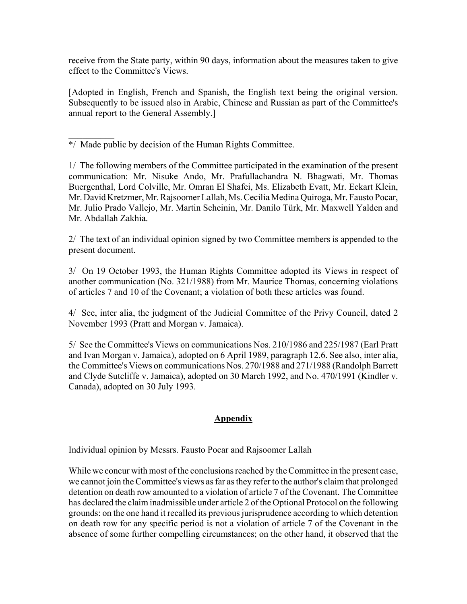receive from the State party, within 90 days, information about the measures taken to give effect to the Committee's Views.

[Adopted in English, French and Spanish, the English text being the original version. Subsequently to be issued also in Arabic, Chinese and Russian as part of the Committee's annual report to the General Assembly.]

 $\mathcal{L}_\text{max}$ \*/ Made public by decision of the Human Rights Committee.

1/ The following members of the Committee participated in the examination of the present communication: Mr. Nisuke Ando, Mr. Prafullachandra N. Bhagwati, Mr. Thomas Buergenthal, Lord Colville, Mr. Omran El Shafei, Ms. Elizabeth Evatt, Mr. Eckart Klein, Mr. David Kretzmer, Mr. Rajsoomer Lallah, Ms. Cecilia Medina Quiroga, Mr. Fausto Pocar, Mr. Julio Prado Vallejo, Mr. Martin Scheinin, Mr. Danilo Türk, Mr. Maxwell Yalden and Mr. Abdallah Zakhia.

2/ The text of an individual opinion signed by two Committee members is appended to the present document.

3/ On 19 October 1993, the Human Rights Committee adopted its Views in respect of another communication (No. 321/1988) from Mr. Maurice Thomas, concerning violations of articles 7 and 10 of the Covenant; a violation of both these articles was found.

4/ See, inter alia, the judgment of the Judicial Committee of the Privy Council, dated 2 November 1993 (Pratt and Morgan v. Jamaica).

5/ See the Committee's Views on communications Nos. 210/1986 and 225/1987 (Earl Pratt and Ivan Morgan v. Jamaica), adopted on 6 April 1989, paragraph 12.6. See also, inter alia, the Committee's Views on communications Nos. 270/1988 and 271/1988 (Randolph Barrett and Clyde Sutcliffe v. Jamaica), adopted on 30 March 1992, and No. 470/1991 (Kindler v. Canada), adopted on 30 July 1993.

# **Appendix**

## Individual opinion by Messrs. Fausto Pocar and Rajsoomer Lallah

While we concur with most of the conclusions reached by the Committee in the present case, we cannot join the Committee's views as far as they refer to the author's claim that prolonged detention on death row amounted to a violation of article 7 of the Covenant. The Committee has declared the claim inadmissible under article 2 of the Optional Protocol on the following grounds: on the one hand it recalled its previous jurisprudence according to which detention on death row for any specific period is not a violation of article 7 of the Covenant in the absence of some further compelling circumstances; on the other hand, it observed that the